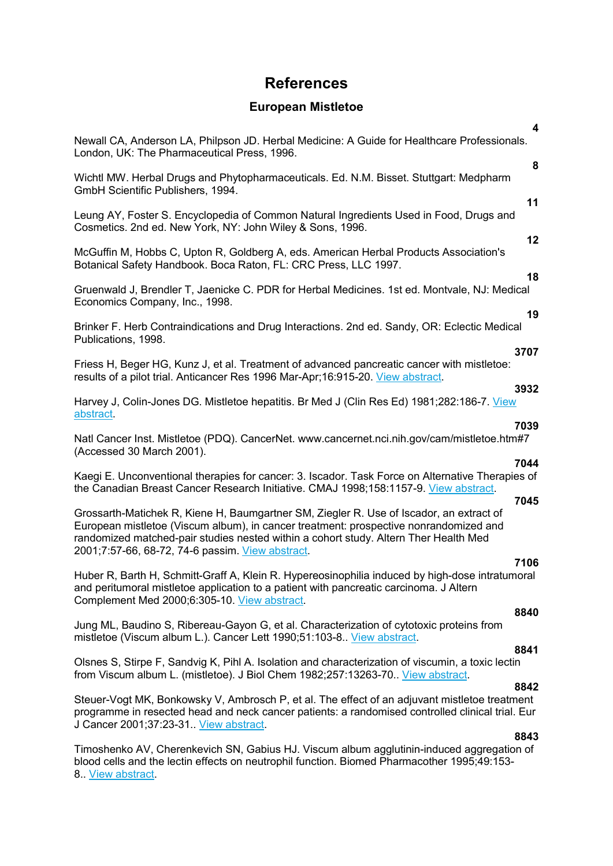# **References**

## **European Mistletoe**

| 4                                                                                                                                                                                                                                                                                                                                    |
|--------------------------------------------------------------------------------------------------------------------------------------------------------------------------------------------------------------------------------------------------------------------------------------------------------------------------------------|
| Newall CA, Anderson LA, Philpson JD. Herbal Medicine: A Guide for Healthcare Professionals.<br>London, UK: The Pharmaceutical Press, 1996.<br>8                                                                                                                                                                                      |
| Wichtl MW. Herbal Drugs and Phytopharmaceuticals. Ed. N.M. Bisset. Stuttgart: Medpharm<br>GmbH Scientific Publishers, 1994.                                                                                                                                                                                                          |
| 11<br>Leung AY, Foster S. Encyclopedia of Common Natural Ingredients Used in Food, Drugs and<br>Cosmetics. 2nd ed. New York, NY: John Wiley & Sons, 1996.                                                                                                                                                                            |
| 12<br>McGuffin M, Hobbs C, Upton R, Goldberg A, eds. American Herbal Products Association's<br>Botanical Safety Handbook. Boca Raton, FL: CRC Press, LLC 1997.                                                                                                                                                                       |
| 18<br>Gruenwald J, Brendler T, Jaenicke C. PDR for Herbal Medicines. 1st ed. Montvale, NJ: Medical<br>Economics Company, Inc., 1998.                                                                                                                                                                                                 |
| 19<br>Brinker F. Herb Contraindications and Drug Interactions. 2nd ed. Sandy, OR: Eclectic Medical<br>Publications, 1998.                                                                                                                                                                                                            |
| 3707<br>Friess H, Beger HG, Kunz J, et al. Treatment of advanced pancreatic cancer with mistletoe:<br>results of a pilot trial. Anticancer Res 1996 Mar-Apr; 16:915-20. View abstract.                                                                                                                                               |
| 3932<br>Harvey J, Colin-Jones DG. Mistletoe hepatitis. Br Med J (Clin Res Ed) 1981;282:186-7. View<br>abstract.                                                                                                                                                                                                                      |
| 7039<br>Natl Cancer Inst. Mistletoe (PDQ). CancerNet. www.cancernet.nci.nih.gov/cam/mistletoe.htm#7<br>(Accessed 30 March 2001).                                                                                                                                                                                                     |
| 7044<br>Kaegi E. Unconventional therapies for cancer: 3. Iscador. Task Force on Alternative Therapies of<br>the Canadian Breast Cancer Research Initiative. CMAJ 1998;158:1157-9. View abstract.                                                                                                                                     |
| 7045<br>Grossarth-Matichek R, Kiene H, Baumgartner SM, Ziegler R. Use of Iscador, an extract of<br>European mistletoe (Viscum album), in cancer treatment: prospective nonrandomized and<br>randomized matched-pair studies nested within a cohort study. Altern Ther Health Med<br>2001;7:57-66, 68-72, 74-6 passim. View abstract. |
| 7106<br>Huber R, Barth H, Schmitt-Graff A, Klein R. Hypereosinophilia induced by high-dose intratumoral<br>and peritumoral mistletoe application to a patient with pancreatic carcinoma. J Altern<br>Complement Med 2000;6:305-10. View abstract.                                                                                    |
| 8840<br>Jung ML, Baudino S, Ribereau-Gayon G, et al. Characterization of cytotoxic proteins from<br>mistletoe (Viscum album L.). Cancer Lett 1990;51:103-8. View abstract.                                                                                                                                                           |
| 8841<br>Olsnes S, Stirpe F, Sandvig K, Pihl A. Isolation and characterization of viscumin, a toxic lectin<br>from Viscum album L. (mistletoe). J Biol Chem 1982;257:13263-70 View abstract.                                                                                                                                          |
| 8842<br>Steuer-Vogt MK, Bonkowsky V, Ambrosch P, et al. The effect of an adjuvant mistletoe treatment<br>programme in resected head and neck cancer patients: a randomised controlled clinical trial. Eur<br>J Cancer 2001;37:23-31. View abstract.                                                                                  |
| 8843<br>Timoshenko AV, Cherenkevich SN, Gabius HJ. Viscum album agglutinin-induced aggregation of<br>blood cells and the lectin effects on neutrophil function. Biomed Pharmacother 1995;49:153-<br>8. View abstract.                                                                                                                |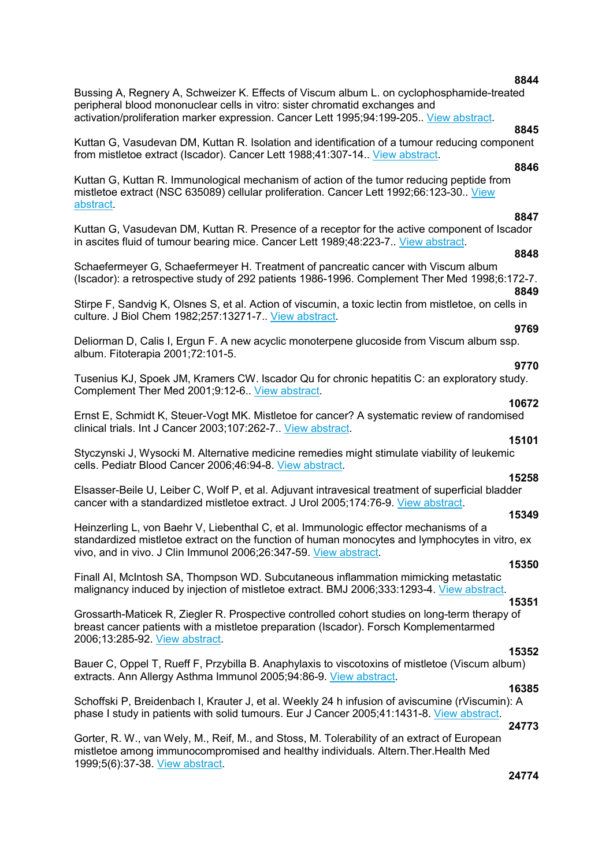**8844** 

Bussing A, Regnery A, Schweizer K. Effects of Viscum album L. on cyclophosphamide-treated peripheral blood mononuclear cells in vitro: sister chromatid exchanges and activation/proliferation marker expression. Cancer Lett 1995;94:199-205.. View abstract.

## **8845**

Kuttan G, Vasudevan DM, Kuttan R. Isolation and identification of a tumour reducing component from mistletoe extract (Iscador). Cancer Lett 1988;41:307-14.. View abstract.

## **8846**

Kuttan G, Kuttan R. Immunological mechanism of action of the tumor reducing peptide from mistletoe extract (NSC 635089) cellular proliferation. Cancer Lett 1992;66:123-30.. View abstract.

## **8847**

Kuttan G, Vasudevan DM, Kuttan R. Presence of a receptor for the active component of Iscador in ascites fluid of tumour bearing mice. Cancer Lett 1989;48:223-7.. View abstract.

## **8848**

Schaefermeyer G, Schaefermeyer H. Treatment of pancreatic cancer with Viscum album (Iscador): a retrospective study of 292 patients 1986-1996. Complement Ther Med 1998;6:172-7. **8849** 

Stirpe F, Sandvig K, Olsnes S, et al. Action of viscumin, a toxic lectin from mistletoe, on cells in culture. J Biol Chem 1982;257:13271-7.. View abstract.

## **9769**

**9770** 

Deliorman D, Calis I, Ergun F. A new acyclic monoterpene glucoside from Viscum album ssp. album. Fitoterapia 2001;72:101-5.

Tusenius KJ, Spoek JM, Kramers CW. Iscador Qu for chronic hepatitis C: an exploratory study. Complement Ther Med 2001;9:12-6.. View abstract.

## **10672**

Ernst E, Schmidt K, Steuer-Vogt MK. Mistletoe for cancer? A systematic review of randomised clinical trials. Int J Cancer 2003;107:262-7.. View abstract.

Styczynski J, Wysocki M. Alternative medicine remedies might stimulate viability of leukemic cells. Pediatr Blood Cancer 2006;46:94-8. View abstract.

## **15258**

**15101** 

Elsasser-Beile U, Leiber C, Wolf P, et al. Adjuvant intravesical treatment of superficial bladder cancer with a standardized mistletoe extract. J Urol 2005;174:76-9. View abstract.

#### **15349**

Heinzerling L, von Baehr V, Liebenthal C, et al. Immunologic effector mechanisms of a standardized mistletoe extract on the function of human monocytes and lymphocytes in vitro, ex vivo, and in vivo. J Clin Immunol 2006;26:347-59. View abstract.

#### **15350**

Finall AI, McIntosh SA, Thompson WD. Subcutaneous inflammation mimicking metastatic malignancy induced by injection of mistletoe extract. BMJ 2006;333:1293-4. View abstract.

## **15351**

Grossarth-Maticek R, Ziegler R. Prospective controlled cohort studies on long-term therapy of breast cancer patients with a mistletoe preparation (Iscador). Forsch Komplementarmed 2006;13:285-92. View abstract.

#### **15352**

Bauer C, Oppel T, Rueff F, Przybilla B. Anaphylaxis to viscotoxins of mistletoe (Viscum album) extracts. Ann Allergy Asthma Immunol 2005;94:86-9. View abstract.

## **16385**

Schoffski P, Breidenbach I, Krauter J, et al. Weekly 24 h infusion of aviscumine (rViscumin): A phase I study in patients with solid tumours. Eur J Cancer 2005;41:1431-8. View abstract.

## **24773**

Gorter, R. W., van Wely, M., Reif, M., and Stoss, M. Tolerability of an extract of European mistletoe among immunocompromised and healthy individuals. Altern.Ther.Health Med 1999;5(6):37-38. View abstract.

#### **24774**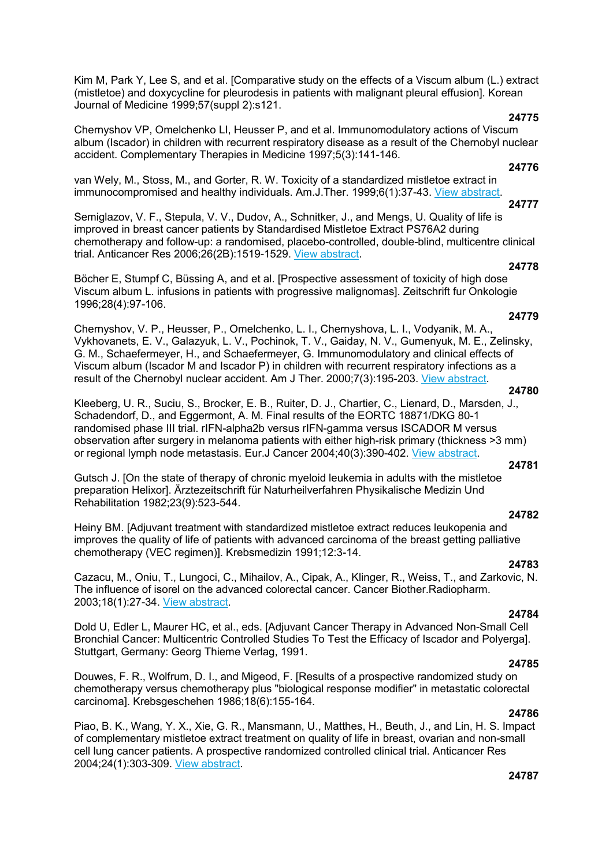Kim M, Park Y, Lee S, and et al. [Comparative study on the effects of a Viscum album (L.) extract (mistletoe) and doxycycline for pleurodesis in patients with malignant pleural effusion]. Korean Journal of Medicine 1999;57(suppl 2):s121.

## **24775**

Chernyshov VP, Omelchenko LI, Heusser P, and et al. Immunomodulatory actions of Viscum album (Iscador) in children with recurrent respiratory disease as a result of the Chernobyl nuclear accident. Complementary Therapies in Medicine 1997;5(3):141-146.

## **24776**

van Wely, M., Stoss, M., and Gorter, R. W. Toxicity of a standardized mistletoe extract in immunocompromised and healthy individuals. Am.J.Ther. 1999;6(1):37-43. View abstract.

### **24777**

Semiglazov, V. F., Stepula, V. V., Dudov, A., Schnitker, J., and Mengs, U. Quality of life is improved in breast cancer patients by Standardised Mistletoe Extract PS76A2 during chemotherapy and follow-up: a randomised, placebo-controlled, double-blind, multicentre clinical trial. Anticancer Res 2006;26(2B):1519-1529. View abstract.

## **24778**

Böcher E, Stumpf C, Büssing A, and et al. [Prospective assessment of toxicity of high dose Viscum album L. infusions in patients with progressive malignomas]. Zeitschrift fur Onkologie 1996;28(4):97-106.

#### **24779**

Chernyshov, V. P., Heusser, P., Omelchenko, L. I., Chernyshova, L. I., Vodyanik, M. A., Vykhovanets, E. V., Galazyuk, L. V., Pochinok, T. V., Gaiday, N. V., Gumenyuk, M. E., Zelinsky, G. M., Schaefermeyer, H., and Schaefermeyer, G. Immunomodulatory and clinical effects of Viscum album (Iscador M and Iscador P) in children with recurrent respiratory infections as a result of the Chernobyl nuclear accident. Am J Ther. 2000;7(3):195-203. View abstract.

#### **24780**

Kleeberg, U. R., Suciu, S., Brocker, E. B., Ruiter, D. J., Chartier, C., Lienard, D., Marsden, J., Schadendorf, D., and Eggermont, A. M. Final results of the EORTC 18871/DKG 80-1 randomised phase III trial. rIFN-alpha2b versus rIFN-gamma versus ISCADOR M versus observation after surgery in melanoma patients with either high-risk primary (thickness >3 mm) or regional lymph node metastasis. Eur.J Cancer 2004;40(3):390-402. View abstract.

#### **24781**

Gutsch J. [On the state of therapy of chronic myeloid leukemia in adults with the mistletoe preparation Helixor]. Ärztezeitschrift für Naturheilverfahren Physikalische Medizin Und Rehabilitation 1982;23(9):523-544.

Heiny BM. [Adjuvant treatment with standardized mistletoe extract reduces leukopenia and improves the quality of life of patients with advanced carcinoma of the breast getting palliative chemotherapy (VEC regimen)]. Krebsmedizin 1991;12:3-14.

## **24783**

**24782** 

Cazacu, M., Oniu, T., Lungoci, C., Mihailov, A., Cipak, A., Klinger, R., Weiss, T., and Zarkovic, N. The influence of isorel on the advanced colorectal cancer. Cancer Biother.Radiopharm. 2003;18(1):27-34. View abstract.

## **24784**

Dold U, Edler L, Maurer HC, et al., eds. [Adjuvant Cancer Therapy in Advanced Non-Small Cell Bronchial Cancer: Multicentric Controlled Studies To Test the Efficacy of Iscador and Polyerga]. Stuttgart, Germany: Georg Thieme Verlag, 1991.

#### **24785**

Douwes, F. R., Wolfrum, D. I., and Migeod, F. [Results of a prospective randomized study on chemotherapy versus chemotherapy plus "biological response modifier" in metastatic colorectal carcinoma]. Krebsgeschehen 1986;18(6):155-164.

## **24786**

Piao, B. K., Wang, Y. X., Xie, G. R., Mansmann, U., Matthes, H., Beuth, J., and Lin, H. S. Impact of complementary mistletoe extract treatment on quality of life in breast, ovarian and non-small cell lung cancer patients. A prospective randomized controlled clinical trial. Anticancer Res 2004;24(1):303-309. View abstract.

## **24787**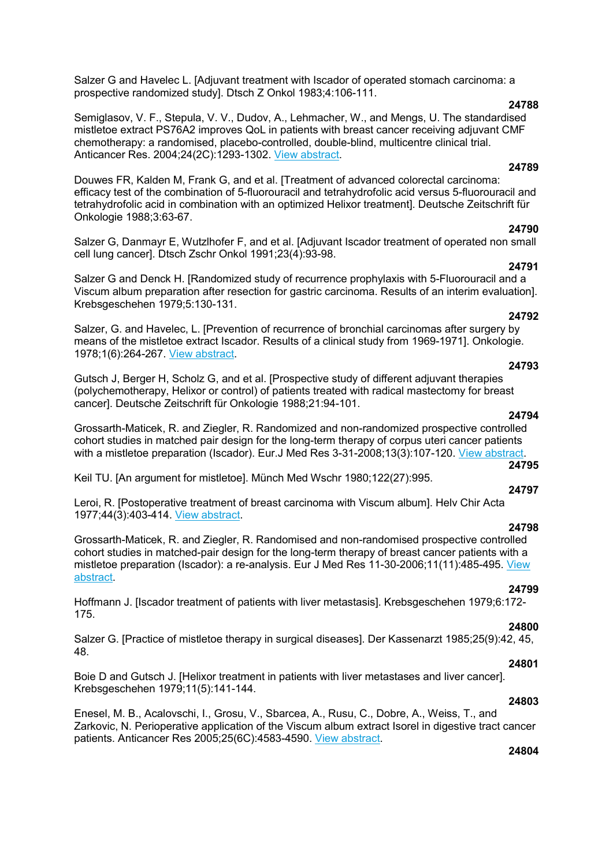Salzer G and Havelec L. [Adjuvant treatment with Iscador of operated stomach carcinoma: a prospective randomized study]. Dtsch Z Onkol 1983;4:106-111.

### **24788**

Semiglasov, V. F., Stepula, V. V., Dudov, A., Lehmacher, W., and Mengs, U. The standardised mistletoe extract PS76A2 improves QoL in patients with breast cancer receiving adjuvant CMF chemotherapy: a randomised, placebo-controlled, double-blind, multicentre clinical trial. Anticancer Res. 2004;24(2C):1293-1302. View abstract.

## **24789**

Douwes FR, Kalden M, Frank G, and et al. [Treatment of advanced colorectal carcinoma: efficacy test of the combination of 5-fluorouracil and tetrahydrofolic acid versus 5-fluorouracil and tetrahydrofolic acid in combination with an optimized Helixor treatment]. Deutsche Zeitschrift für Onkologie 1988;3:63-67.

## **24790**

Salzer G, Danmayr E, Wutzlhofer F, and et al. [Adjuvant Iscador treatment of operated non small cell lung cancer]. Dtsch Zschr Onkol 1991;23(4):93-98.

## **24791**

Salzer G and Denck H. [Randomized study of recurrence prophylaxis with 5-Fluorouracil and a Viscum album preparation after resection for gastric carcinoma. Results of an interim evaluation]. Krebsgeschehen 1979;5:130-131.

## **24792**

Salzer, G. and Havelec, L. [Prevention of recurrence of bronchial carcinomas after surgery by means of the mistletoe extract Iscador. Results of a clinical study from 1969-1971]. Onkologie. 1978;1(6):264-267. View abstract.

## **24793**

Gutsch J, Berger H, Scholz G, and et al. [Prospective study of different adjuvant therapies (polychemotherapy, Helixor or control) of patients treated with radical mastectomy for breast cancer]. Deutsche Zeitschrift für Onkologie 1988;21:94-101.

## **24794**

Grossarth-Maticek, R. and Ziegler, R. Randomized and non-randomized prospective controlled cohort studies in matched pair design for the long-term therapy of corpus uteri cancer patients with a mistletoe preparation (Iscador). Eur.J Med Res 3-31-2008;13(3):107-120. View abstract. **24795** 

Keil TU. [An argument for mistletoe]. Münch Med Wschr 1980;122(27):995.

#### **24797**

Leroi, R. [Postoperative treatment of breast carcinoma with Viscum album]. Helv Chir Acta 1977;44(3):403-414. View abstract.

#### **24798**

Grossarth-Maticek, R. and Ziegler, R. Randomised and non-randomised prospective controlled cohort studies in matched-pair design for the long-term therapy of breast cancer patients with a mistletoe preparation (Iscador): a re-analysis. Eur J Med Res 11-30-2006;11(11):485-495. View abstract.

## **24799**

Hoffmann J. [Iscador treatment of patients with liver metastasis]. Krebsgeschehen 1979;6:172- 175.

## **24800**

Salzer G. [Practice of mistletoe therapy in surgical diseases]. Der Kassenarzt 1985;25(9):42, 45, 48.

## **24801**

Boie D and Gutsch J. [Helixor treatment in patients with liver metastases and liver cancer]. Krebsgeschehen 1979;11(5):141-144.

#### **24803**

Enesel, M. B., Acalovschi, I., Grosu, V., Sbarcea, A., Rusu, C., Dobre, A., Weiss, T., and Zarkovic, N. Perioperative application of the Viscum album extract Isorel in digestive tract cancer patients. Anticancer Res 2005;25(6C):4583-4590. View abstract.

## **24804**